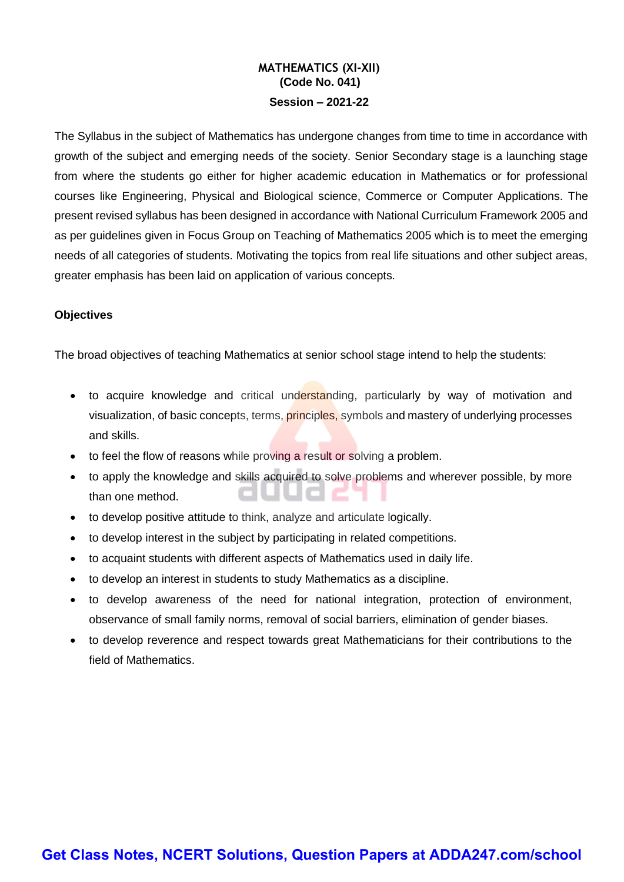### **MATHEMATICS (XI-XII) (Code No. 041) Session – 2021-22**

The Syllabus in the subject of Mathematics has undergone changes from time to time in accordance with growth of the subject and emerging needs of the society. Senior Secondary stage is a launching stage from where the students go either for higher academic education in Mathematics or for professional courses like Engineering, Physical and Biological science, Commerce or Computer Applications. The present revised syllabus has been designed in accordance with National Curriculum Framework 2005 and as per guidelines given in Focus Group on Teaching of Mathematics 2005 which is to meet the emerging needs of all categories of students. Motivating the topics from real life situations and other subject areas, greater emphasis has been laid on application of various concepts.

### **Objectives**

The broad objectives of teaching Mathematics at senior school stage intend to help the students:

- to acquire knowledge and critical understanding, particularly by way of motivation and visualization, of basic concepts, terms, *principles*, symbols and mastery of underlying processes and skills.
- to feel the flow of reasons while proving a result or solving a problem.
- to apply the knowledge and skills acquired to solve problems and wherever possible, by more than one method.
- to develop positive attitude to think, analyze and articulate logically.
- to develop interest in the subject by participating in related competitions.
- to acquaint students with different aspects of Mathematics used in daily life.
- to develop an interest in students to study Mathematics as a discipline.
- to develop awareness of the need for national integration, protection of environment, observance of small family norms, removal of social barriers, elimination of gender biases.
- to develop reverence and respect towards great Mathematicians for their contributions to the field of Mathematics.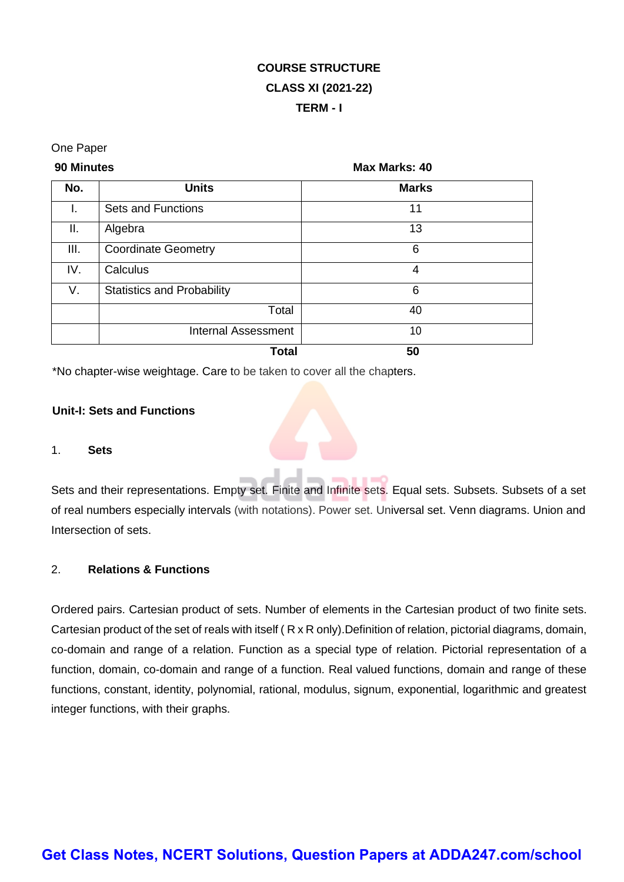# **COURSE STRUCTURE CLASS XI (2021-22) TERM - I**

### One Paper

**90 Minutes Max Marks: 40**

| No.  | <b>Units</b>                      | <b>Marks</b> |
|------|-----------------------------------|--------------|
| I.   | <b>Sets and Functions</b>         | 11           |
| Ш.   | Algebra                           | 13           |
| III. | <b>Coordinate Geometry</b>        | 6            |
| IV.  | Calculus                          | 4            |
| V.   | <b>Statistics and Probability</b> | 6            |
|      | Total                             | 40           |
|      | <b>Internal Assessment</b>        | 10           |
|      | <b>Total</b>                      | 50           |

\*No chapter-wise weightage. Care to be taken to cover all the chapters.

### **Unit-I: Sets and Functions**

### 1. **Sets**

Sets and their representations. Empty set. Finite and Infinite sets. Equal sets. Subsets. Subsets of a set of real numbers especially intervals (with notations). Power set. Universal set. Venn diagrams. Union and Intersection of sets.

### 2. **Relations & Functions**

Ordered pairs. Cartesian product of sets. Number of elements in the Cartesian product of two finite sets. Cartesian product of the set of reals with itself ( R x R only).Definition of relation, pictorial diagrams, domain, co-domain and range of a relation. Function as a special type of relation. Pictorial representation of a function, domain, co-domain and range of a function. Real valued functions, domain and range of these functions, constant, identity, polynomial, rational, modulus, signum, exponential, logarithmic and greatest integer functions, with their graphs.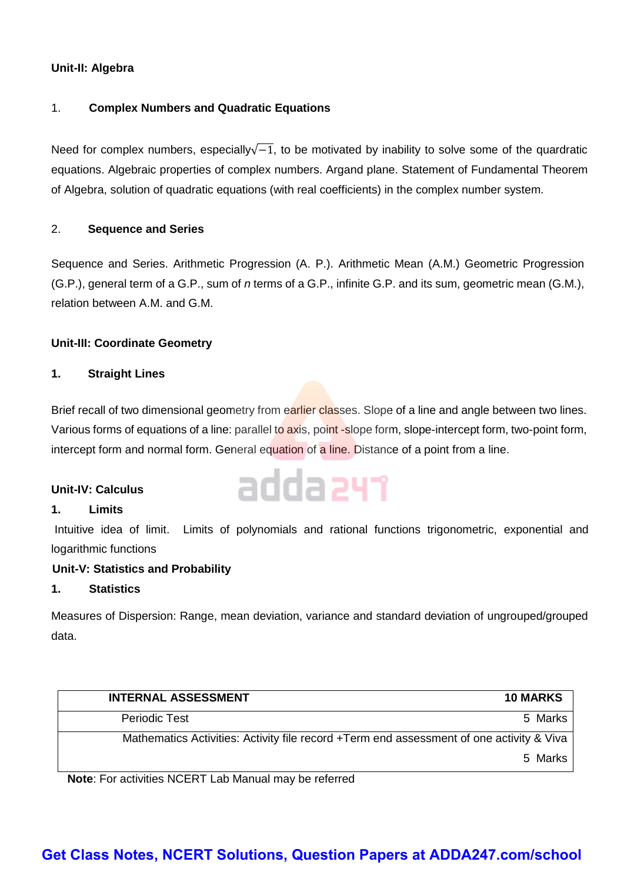### **Unit-II: Algebra**

### 1. **Complex Numbers and Quadratic Equations**

Need for complex numbers, especially $\sqrt{-1}$ , to be motivated by inability to solve some of the quardratic equations. Algebraic properties of complex numbers. Argand plane. Statement of Fundamental Theorem of Algebra, solution of quadratic equations (with real coefficients) in the complex number system.

### 2. **Sequence and Series**

Sequence and Series. Arithmetic Progression (A. P.). Arithmetic Mean (A.M.) Geometric Progression (G.P.), general term of a G.P., sum of *n* terms of a G.P., infinite G.P. and its sum, geometric mean (G.M.), relation between A.M. and G.M.

### **Unit-III: Coordinate Geometry**

### **1. Straight Lines**

Brief recall of two dimensional geometry from earlier classes. Slope of a line and angle between two lines. Various forms of equations of a line: parallel to axis, point -slope form, slope-intercept form, two-point form, intercept form and normal form. General equation of a line. Distance of a point from a line.

adda 241

### **Unit-IV: Calculus**

### **1. Limits**

Intuitive idea of limit. Limits of polynomials and rational functions trigonometric, exponential and logarithmic functions

### **Unit-V: Statistics and Probability**

### **1. Statistics**

Measures of Dispersion: Range, mean deviation, variance and standard deviation of ungrouped/grouped data.

| <b>INTERNAL ASSESSMENT</b>                                                               | <b>10 MARKS</b> |
|------------------------------------------------------------------------------------------|-----------------|
| <b>Periodic Test</b>                                                                     | 5 Marks         |
| Mathematics Activities: Activity file record +Term end assessment of one activity & Viva |                 |
|                                                                                          | 5 Marks         |

**Note**: For activities NCERT Lab Manual may be referred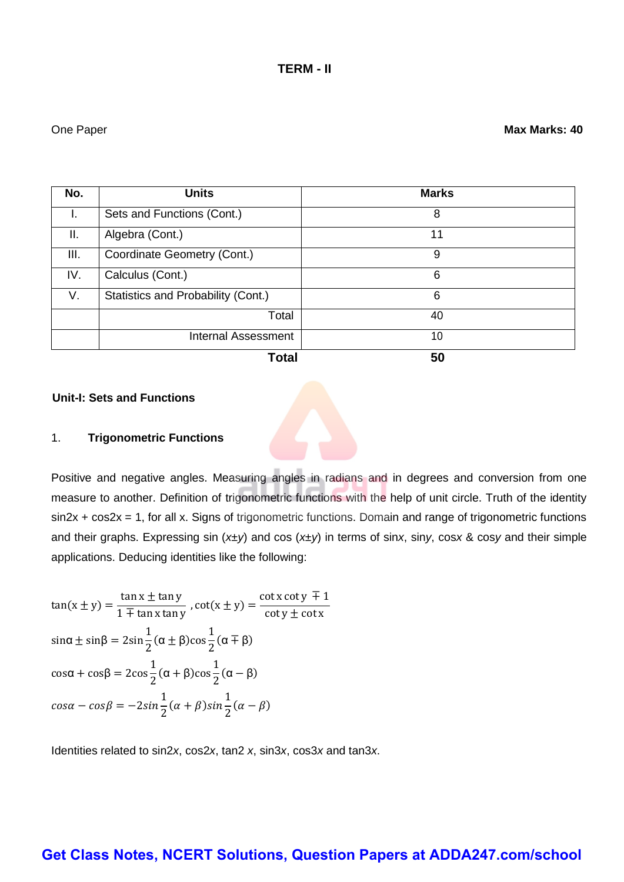| No.  | <b>Units</b>                       | <b>Marks</b> |
|------|------------------------------------|--------------|
| I.   | Sets and Functions (Cont.)         | 8            |
| Ш.   | Algebra (Cont.)                    | 11           |
| III. | Coordinate Geometry (Cont.)        | 9            |
| IV.  | Calculus (Cont.)                   | 6            |
| V.   | Statistics and Probability (Cont.) | 6            |
|      | Total                              | 40           |
|      | <b>Internal Assessment</b>         | 10           |
|      | <b>Total</b>                       | 50           |

### **Unit-I: Sets and Functions**

### 1. **Trigonometric Functions**

Positive and negative angles. Measuring angles in radians and in degrees and conversion from one measure to another. Definition of trigonometric functions with the help of unit circle. Truth of the identity sin2x + cos2x = 1, for all x. Signs of trigonometric functions. Domain and range of trigonometric functions and their graphs. Expressing sin (*x±y*) and cos (*x±y*) in terms of sin*x*, sin*y*, cos*x* & cos*y* and their simple applications. Deducing identities like the following:

 $tan(x \pm y) =$  $\tan x \pm \tan y$  $\frac{1}{1 + \tan x \tan y}$ ,  $\cot(x \pm y) =$  $\cot x \cot y \mp 1$  $\cot y \pm \cot x$ sin $\alpha \pm$  sin $\beta = 2$ sin 1  $\frac{1}{2}$  (α  $\pm$  β)cos 1  $\frac{1}{2}$  (α ∓ β) cosα + cosβ = 2cos 1  $\frac{1}{2}$  (α + β)cos 1  $rac{1}{2}$  (α – β)  $cos\alpha-cos\beta=-2sin$ 1  $\frac{1}{2}(\alpha+\beta)sin$ 1  $\frac{1}{2}(\alpha - \beta)$ 

Identities related to sin2*x*, cos2*x*, tan2 *x*, sin3*x*, cos3*x* and tan3*x*.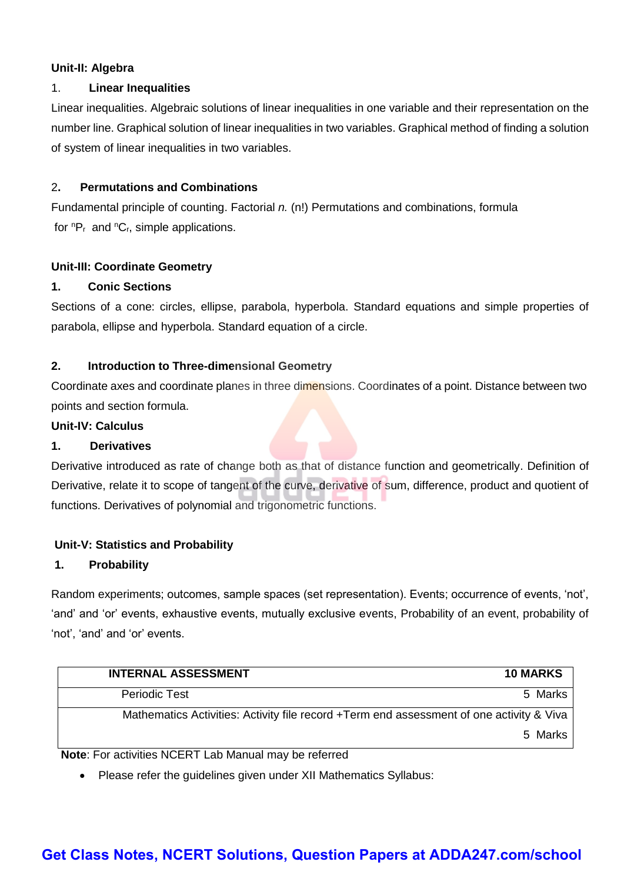### **Unit-II: Algebra**

### 1. **Linear Inequalities**

Linear inequalities. Algebraic solutions of linear inequalities in one variable and their representation on the number line. Graphical solution of linear inequalities in two variables. Graphical method of finding a solution of system of linear inequalities in two variables.

### 2**. Permutations and Combinations**

Fundamental principle of counting. Factorial *n.* (n!) Permutations and combinations, formula for  ${}^{n}P_{r}$  and  ${}^{n}C_{r}$ , simple applications.

### **Unit-III: Coordinate Geometry**

### **1. Conic Sections**

Sections of a cone: circles, ellipse, parabola, hyperbola. Standard equations and simple properties of parabola, ellipse and hyperbola. Standard equation of a circle.

### **2. Introduction to Three-dimensional Geometry**

Coordinate axes and coordinate planes in three dimensions. Coordinates of a point. Distance between two points and section formula.

### **Unit-IV: Calculus**

### **1. Derivatives**

Derivative introduced as rate of change both as that of distance function and geometrically. Definition of Derivative, relate it to scope of tangent of the curve, derivative of sum, difference, product and quotient of functions. Derivatives of polynomial and trigonometric functions.

### **Unit-V: Statistics and Probability**

### **1. Probability**

Random experiments; outcomes, sample spaces (set representation). Events; occurrence of events, 'not', 'and' and 'or' events, exhaustive events, mutually exclusive events, Probability of an event, probability of 'not', 'and' and 'or' events.

| <b>INTERNAL ASSESSMENT</b>                                                               | <b>10 MARKS</b> |
|------------------------------------------------------------------------------------------|-----------------|
| <b>Periodic Test</b>                                                                     | 5 Marks         |
| Mathematics Activities: Activity file record +Term end assessment of one activity & Viva |                 |
|                                                                                          | 5 Marks         |

**Note**: For activities NCERT Lab Manual may be referred

• Please refer the guidelines given under XII Mathematics Syllabus: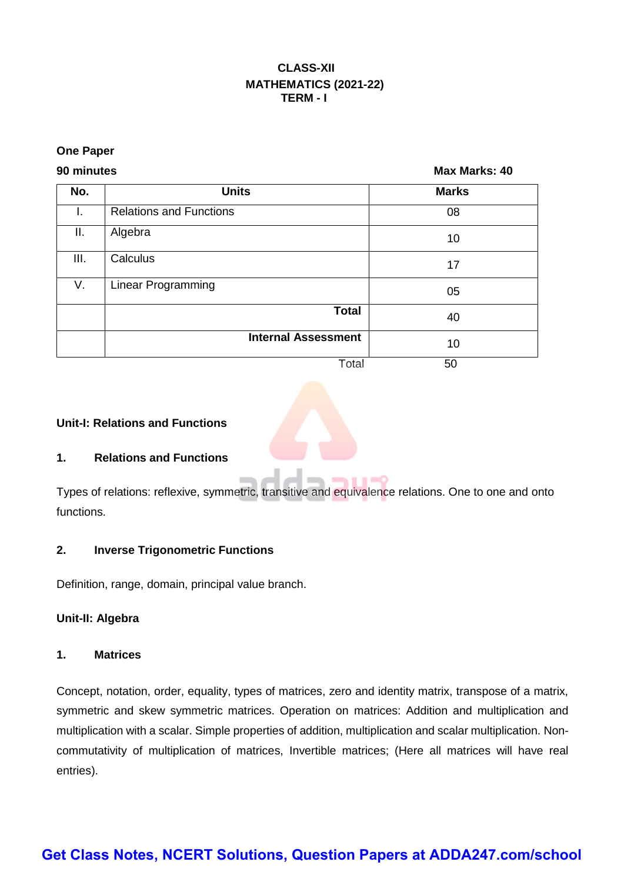### **CLASS-XII MATHEMATICS (2021-22) TERM - I**

### **One Paper**

**90 minutes Max Marks: 40**

| No. | <b>Units</b>                   | <b>Marks</b> |
|-----|--------------------------------|--------------|
| I.  | <b>Relations and Functions</b> | 08           |
| II. | Algebra                        | 10           |
| Ш.  | Calculus                       | 17           |
| V.  | <b>Linear Programming</b>      | 05           |
|     | <b>Total</b>                   | 40           |
|     | <b>Internal Assessment</b>     | 10           |
|     | Total                          | 50           |

 $-0$ 

n.

### **Unit-I: Relations and Functions**

### **1. Relations and Functions**

Types of relations: reflexive, symmetric, transitive and equivalence relations. One to one and onto functions.

 $\sim$ 

### **2. Inverse Trigonometric Functions**

Definition, range, domain, principal value branch.

### **Unit-II: Algebra**

### **1. Matrices**

Concept, notation, order, equality, types of matrices, zero and identity matrix, transpose of a matrix, symmetric and skew symmetric matrices. Operation on matrices: Addition and multiplication and multiplication with a scalar. Simple properties of addition, multiplication and scalar multiplication. Noncommutativity of multiplication of matrices, Invertible matrices; (Here all matrices will have real entries).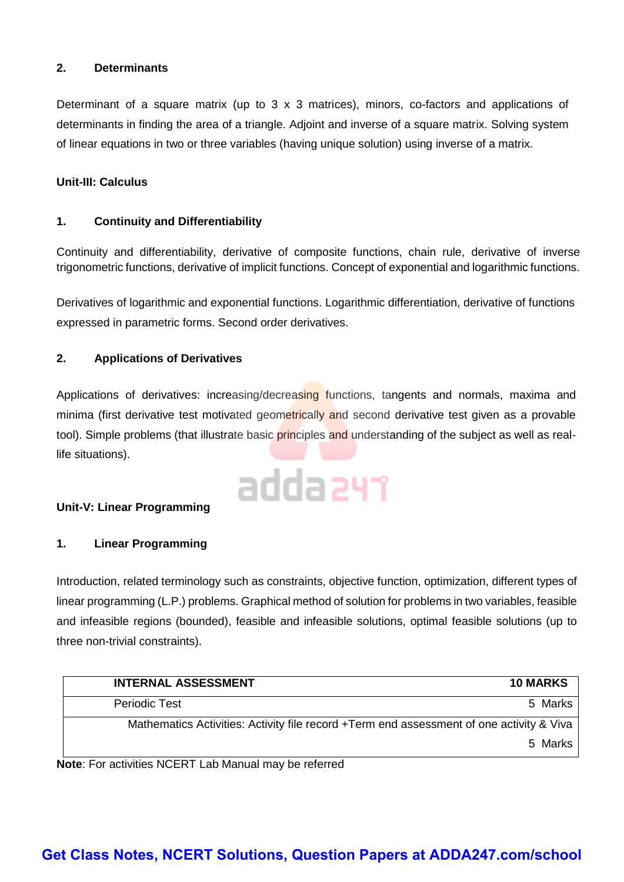### **2. Determinants**

Determinant of a square matrix (up to 3 x 3 matrices), minors, co-factors and applications of determinants in finding the area of a triangle. Adjoint and inverse of a square matrix. Solving system of linear equations in two or three variables (having unique solution) using inverse of a matrix.

### **Unit-III: Calculus**

### **1. Continuity and Differentiability**

Continuity and differentiability, derivative of composite functions, chain rule, derivative of inverse trigonometric functions, derivative of implicit functions. Concept of exponential and logarithmic functions.

Derivatives of logarithmic and exponential functions. Logarithmic differentiation, derivative of functions expressed in parametric forms. Second order derivatives.

### **2. Applications of Derivatives**

Applications of derivatives: increasing/decreasing functions, tangents and normals, maxima and minima (first derivative test motivated geometrically and second derivative test given as a provable tool). Simple problems (that illustrate basic principles and understanding of the subject as well as reallife situations).

# adda 241

### **Unit-V: Linear Programming**

### **1. Linear Programming**

Introduction, related terminology such as constraints, objective function, optimization, different types of linear programming (L.P.) problems. Graphical method of solution for problems in two variables, feasible and infeasible regions (bounded), feasible and infeasible solutions, optimal feasible solutions (up to three non-trivial constraints).

| <b>INTERNAL ASSESSMENT</b>                                                               | <b>10 MARKS</b> |
|------------------------------------------------------------------------------------------|-----------------|
| <b>Periodic Test</b>                                                                     | 5 Marks         |
| Mathematics Activities: Activity file record +Term end assessment of one activity & Viva |                 |
|                                                                                          | 5 Marks         |

**Note**: For activities NCERT Lab Manual may be referred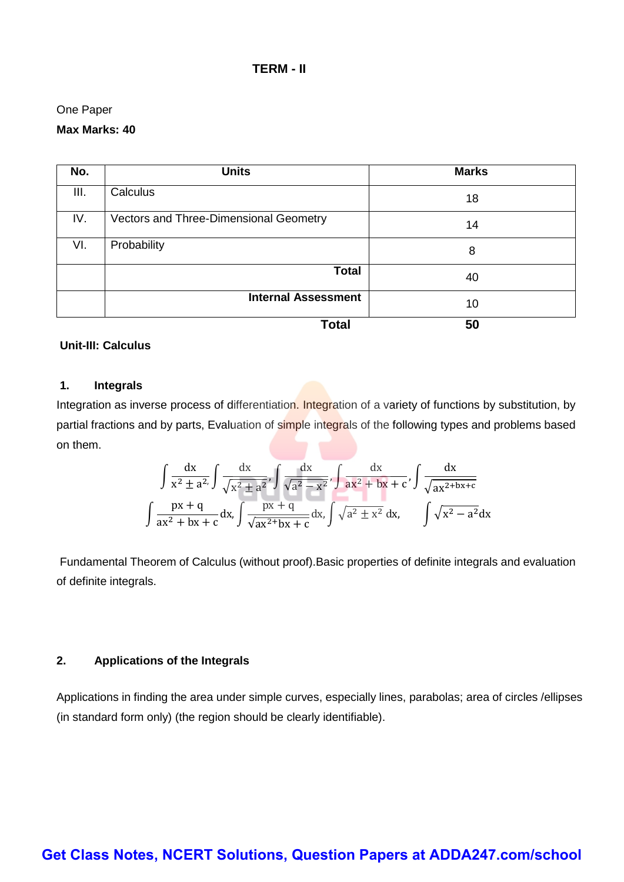### **TERM - II**

### One Paper

### **Max Marks: 40**

| No.  | <b>Units</b>                           | <b>Marks</b> |
|------|----------------------------------------|--------------|
| III. | Calculus                               | 18           |
| IV.  | Vectors and Three-Dimensional Geometry | 14           |
| VI.  | Probability                            | 8            |
|      | <b>Total</b>                           | 40           |
|      | <b>Internal Assessment</b>             | 10           |
|      | <b>Total</b>                           | 50           |

### **Unit-III: Calculus**

### **1. Integrals**

Integration as inverse process of differentiation. Integration of a variety of functions by substitution, by partial fractions and by parts, Evaluation of simple integrals of the following types and problems based on them.

$$
\int \frac{dx}{x^2 \pm a^2} \int \frac{dx}{\sqrt{x^2 \pm a^2}}, \int \frac{dx}{\sqrt{a^2 - x^2}}, \int \frac{dx}{ax^2 + bx + c}, \int \frac{dx}{\sqrt{ax^{2 + bx + c}}}
$$

$$
\int \frac{px + q}{ax^2 + bx + c} dx, \int \frac{px + q}{\sqrt{ax^{2 + bx + c}}} dx, \int \sqrt{a^2 \pm x^2} dx, \int \sqrt{x^2 - a^2} dx
$$

Fundamental Theorem of Calculus (without proof).Basic properties of definite integrals and evaluation of definite integrals.

### **2. Applications of the Integrals**

Applications in finding the area under simple curves, especially lines, parabolas; area of circles /ellipses (in standard form only) (the region should be clearly identifiable).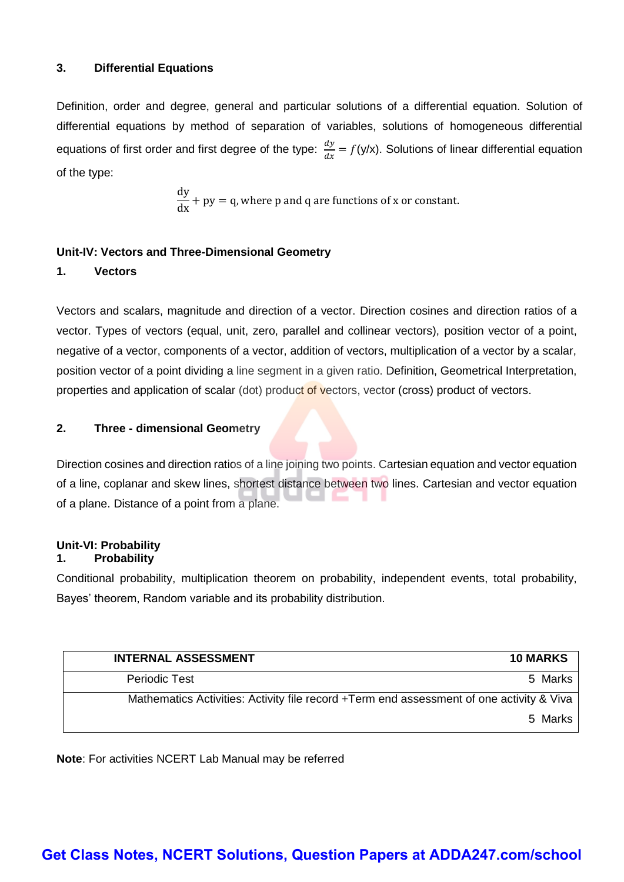### **3. Differential Equations**

Definition, order and degree, general and particular solutions of a differential equation. Solution of differential equations by method of separation of variables, solutions of homogeneous differential equations of first order and first degree of the type:  $\frac{dy}{dx}$  $\frac{dy}{dx} = f(y/x)$ . Solutions of linear differential equation of the type:

> dy  $\frac{dy}{dx}$  + py = q, where p and q are functions of x or constant.

### **Unit-IV: Vectors and Three-Dimensional Geometry**

### **1. Vectors**

Vectors and scalars, magnitude and direction of a vector. Direction cosines and direction ratios of a vector. Types of vectors (equal, unit, zero, parallel and collinear vectors), position vector of a point, negative of a vector, components of a vector, addition of vectors, multiplication of a vector by a scalar, position vector of a point dividing a line segment in a given ratio. Definition, Geometrical Interpretation, properties and application of scalar (dot) product of vectors, vector (cross) product of vectors.

### **2. Three - dimensional Geometry**

Direction cosines and direction ratios of a line joining two points. Cartesian equation and vector equation of a line, coplanar and skew lines, shortest distance between two lines. Cartesian and vector equation of a plane. Distance of a point from a plane.

### **Unit-VI: Probability**

### **1. Probability**

Conditional probability, multiplication theorem on probability, independent events, total probability, Bayes' theorem, Random variable and its probability distribution.

| <b>INTERNAL ASSESSMENT</b>                                                               | <b>10 MARKS</b> |
|------------------------------------------------------------------------------------------|-----------------|
| <b>Periodic Test</b>                                                                     | 5 Marks         |
| Mathematics Activities: Activity file record +Term end assessment of one activity & Viva |                 |
|                                                                                          | 5 Marks         |

**Note**: For activities NCERT Lab Manual may be referred